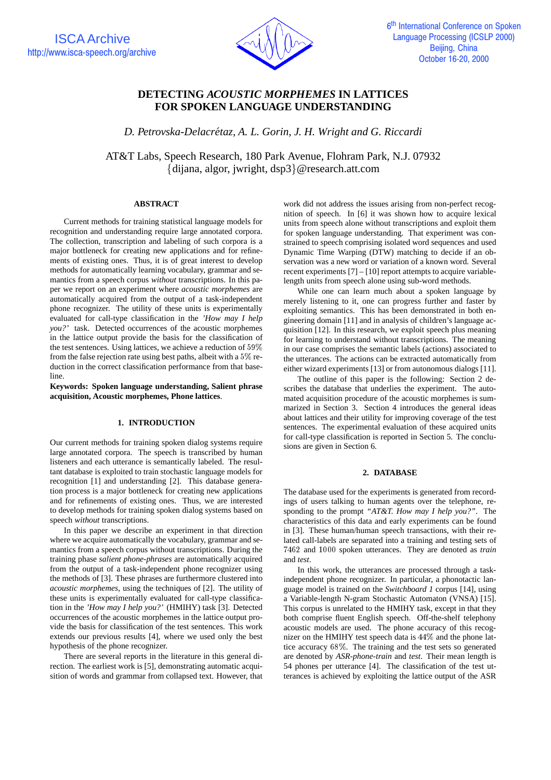

# **DETECTING** *ACOUSTIC MORPHEMES* **IN LATTICES FOR SPOKEN LANGUAGE UNDERSTANDING**

*D. Petrovska-Delacretaz, A. L. Gorin, J. H. Wright and G. Riccardi ´*

AT&T Labs, Speech Research, 180 Park Avenue, Flohram Park, N.J. 07932  $\{dijana, algorithm, jwright, dsp3\}$ @research.att.com

### **ABSTRACT**

Current methods for training statistical language models for recognition and understanding require large annotated corpora. The collection, transcription and labeling of such corpora is a major bottleneck for creating new applications and for refinements of existing ones. Thus, it is of great interest to develop methods for automatically learning vocabulary, grammar and semantics from a speech corpus *without* transcriptions. In this paper we report on an experiment where *acoustic morphemes* are automatically acquired from the output of a task-independent phone recognizer. The utility of these units is experimentally evaluated for call-type classification in the *'How may I help you?'* task. Detected occurrences of the acoustic morphemes in the lattice output provide the basis for the classification of the test sentences. Using lattices, we achieve a reduction of 59% from the false rejection rate using best paths, albeit with a 5% reduction in the correct classification performance from that baseline.

**Keywords: Spoken language understanding, Salient phrase acquisition, Acoustic morphemes, Phone lattices**.

# **1. INTRODUCTION**

Our current methods for training spoken dialog systems require large annotated corpora. The speech is transcribed by human listeners and each utterance is semantically labeled. The resultant database is exploited to train stochastic language models for recognition [1] and understanding [2]. This database generation process is a major bottleneck for creating new applications and for refinements of existing ones. Thus, we are interested to develop methods for training spoken dialog systems based on speech *without* transcriptions.

In this paper we describe an experiment in that direction where we acquire automatically the vocabulary, grammar and semantics from a speech corpus without transcriptions. During the training phase *salient phone-phrases* are automatically acquired from the output of a task-independent phone recognizer using the methods of [3]. These phrases are furthermore clustered into *acoustic morphemes*, using the techniques of [2]. The utility of these units is experimentally evaluated for call-type classification in the *'How may I help you?'* (HMIHY) task [3]. Detected occurrences of the acoustic morphemes in the lattice output provide the basis for classification of the test sentences. This work extends our previous results [4], where we used only the best hypothesis of the phone recognizer.

There are several reports in the literature in this general direction. The earliest work is [5], demonstrating automatic acquisition of words and grammar from collapsed text. However, that work did not address the issues arising from non-perfect recognition of speech. In [6] it was shown how to acquire lexical units from speech alone without transcriptions and exploit them for spoken language understanding. That experiment was constrained to speech comprising isolated word sequences and used Dynamic Time Warping (DTW) matching to decide if an observation was a new word or variation of a known word. Several recent experiments [7] – [10] report attempts to acquire variablelength units from speech alone using sub-word methods.

While one can learn much about a spoken language by merely listening to it, one can progress further and faster by exploiting semantics. This has been demonstrated in both engineering domain [11] and in analysis of children's language acquisition [12]. In this research, we exploit speech plus meaning for learning to understand without transcriptions. The meaning in our case comprises the semantic labels (actions) associated to the utterances. The actions can be extracted automatically from either wizard experiments [13] or from autonomous dialogs [11].

The outline of this paper is the following: Section 2 describes the database that underlies the experiment. The automated acquisition procedure of the acoustic morphemes is summarized in Section 3. Section 4 introduces the general ideas about lattices and their utility for improving coverage of the test sentences. The experimental evaluation of these acquired units for call-type classification is reported in Section 5. The conclusions are given in Section 6.

# **2. DATABASE**

The database used for the experiments is generated from recordings of users talking to human agents over the telephone, responding to the prompt *"AT&T. How may I help you?"*. The characteristics of this data and early experiments can be found in [3]. These human/human speech transactions, with their related call-labels are separated into a training and testing sets of <sup>7462</sup> and <sup>1000</sup> spoken utterances. They are denoted as *train* and *test*.

In this work, the utterances are processed through a taskindependent phone recognizer. In particular, a phonotactic language model is trained on the *Switchboard 1* corpus [14], using a Variable-length N-gram Stochastic Automaton (VNSA) [15]. This corpus is unrelated to the HMIHY task, except in that they both comprise fluent English speech. Off-the-shelf telephony acoustic models are used. The phone accuracy of this recognizer on the HMIHY test speech data is 44% and the phone lattice accuracy 68%. The training and the test sets so generated are denoted by *ASR-phone-train* and *test*. Their mean length is 54 phones per utterance [4]. The classification of the test utterances is achieved by exploiting the lattice output of the ASR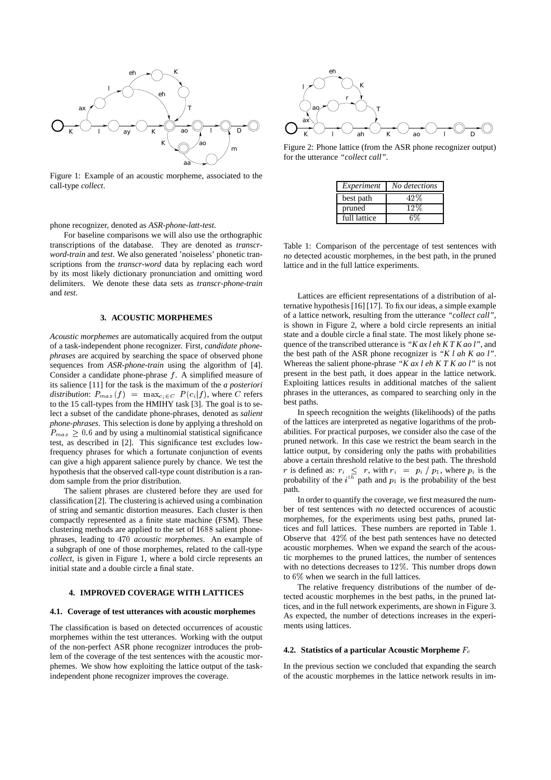

Figure 1: Example of an acoustic morpheme, associated to the call-type *collect*.

phone recognizer, denoted as *ASR-phone-latt-test*.

For baseline comparisons we will also use the orthographic transcriptions of the database. They are denoted as *transcrword-train* and *test*. We also generated 'noiseless' phonetic transcriptions from the *transcr-word* data by replacing each word by its most likely dictionary pronunciation and omitting word delimiters. We denote these data sets as *transcr-phone-train* and *test*.

#### **3. ACOUSTIC MORPHEMES**

*Acoustic morphemes* are automatically acquired from the output of a task-independent phone recognizer. First, *candidate phonephrases* are acquired by searching the space of observed phone sequences from *ASR-phone-train* using the algorithm of [4]. Consider a candidate phone-phrase  $f$ . A simplified measure of its salience [11] for the task is the maximum of the *a posteriori distribution*:  $P_{max}(f) = \max_{c_i \in C} P(c_i|f)$ , where C refers to the 15 call-types from the HMIHY task [3]. The goal is to select a subset of the candidate phone-phrases, denoted as *salient phone-phrases*. This selection is done by applying a threshold on  $P_{max} \geq 0.6$  and by using a multinomial statistical significance test, as described in [2]. This significance test excludes lowfrequency phrases for which a fortunate conjunction of events can give a high apparent salience purely by chance. We test the hypothesis that the observed call-type count distribution is a random sample from the prior distribution.

The salient phrases are clustered before they are used for classification [2]. The clustering is achieved using a combination of string and semantic distortion measures. Each cluster is then compactly represented as a finite state machine (FSM). These clustering methods are applied to the set of <sup>1688</sup> salient phonephrases, leading to <sup>470</sup> *acoustic morphemes*. An example of a subgraph of one of those morphemes, related to the call-type *collect*, is given in Figure 1, where a bold circle represents an initial state and a double circle a final state.

#### **4. IMPROVED COVERAGE WITH LATTICES**

### **4.1. Coverage of test utterances with acoustic morphemes**

The classification is based on detected occurrences of acoustic morphemes within the test utterances. Working with the output of the non-perfect ASR phone recognizer introduces the problem of the coverage of the test sentences with the acoustic morphemes. We show how exploiting the lattice output of the taskindependent phone recognizer improves the coverage.



Figure 2: Phone lattice (from the ASR phone recognizer output) for the utterance *"collect call"*.

| Experiment   | No detections |
|--------------|---------------|
| best path    |               |
| pruned       | 190           |
| full lattice |               |

Table 1: Comparison of the percentage of test sentences with *no* detected acoustic morphemes, in the best path, in the pruned lattice and in the full lattice experiments.

Lattices are efficient representations of a distribution of alternative hypothesis [16] [17]. To fix our ideas, a simple example of a lattice network, resulting from the utterance *"collect call"*, is shown in Figure 2, where a bold circle represents an initial state and a double circle a final state. The most likely phone sequence of the transcribed utterance is *"K ax l eh K T K ao l"*, and the best path of the ASR phone recognizer is *"K l ah K ao l"*. Whereas the salient phone-phrase *"K ax l eh K T K ao l"* is not present in the best path, it does appear in the lattice network. Exploiting lattices results in additional matches of the salient phrases in the utterances, as compared to searching only in the best paths.

In speech recognition the weights (likelihoods) of the paths of the lattices are interpreted as negative logarithms of the probabilities. For practical purposes, we consider also the case of the pruned network. In this case we restrict the beam search in the lattice output, by considering only the paths with probabilities above a certain threshold relative to the best path. The threshold r is defined as:  $r_i \leq r$ , with  $r_i = p_i / p_1$ , where  $p_i$  is the probability of the  $i^{th}$  path and  $p_1$  is the probability of the best path.

In order to quantify the coverage, we first measured the number of test sentences with *no* detected occurences of acoustic morphemes, for the experiments using best paths, pruned lattices and full lattices. These numbers are reported in Table 1. Observe that 42% of the best path sentences have no detected acoustic morphemes. When we expand the search of the acoustic morphemes to the pruned lattices, the number of sentences with no detections decreases to 12%. This number drops down to 6% when we search in the full lattices.

The relative frequency distributions of the number of detected acoustic morphemes in the best paths, in the pruned lattices, and in the full network experiments, are shown in Figure 3. As expected, the number of detections increases in the experiments using lattices.

#### **4.2. Statistics of a particular Acoustic Morpheme**  $F_c$

In the previous section we concluded that expanding the search of the acoustic morphemes in the lattice network results in im-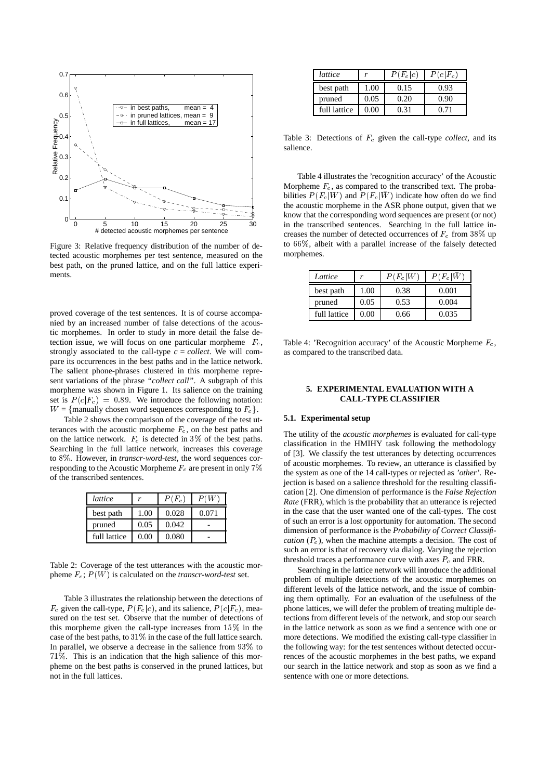

Figure 3: Relative frequency distribution of the number of detected acoustic morphemes per test sentence, measured on the best path, on the pruned lattice, and on the full lattice experiments.

proved coverage of the test sentences. It is of course accompanied by an increased number of false detections of the acoustic morphemes. In order to study in more detail the false detection issue, we will focus on one particular morpheme  $F_c$ , strongly associated to the call-type  $c = collect$ . We will compare its occurrences in the best paths and in the lattice network. The salient phone-phrases clustered in this morpheme represent variations of the phrase *"collect call"*. A subgraph of this morpheme was shown in Figure 1. Its salience on the training set is  $P(c|F_c) = 0.89$ . We introduce the following notation:  $W = \{$ manually chosen word sequences corresponding to  $F_c\}.$ 

Table 2 shows the comparison of the coverage of the test utterances with the acoustic morpheme  $F_c$ , on the best paths and on the lattice network.  $F_c$  is detected in 3% of the best paths. Searching in the full lattice network, increases this coverage to 8%. However, in *transcr-word-test*, the word sequences corresponding to the Acoustic Morpheme  $F_c$  are present in only 7% of the transcribed sentences.

| lattice      |      | $P(F_c)$ |       |
|--------------|------|----------|-------|
| best path    | 1.00 | 0.028    | 0.071 |
| pruned       | 0.05 | 0.042    |       |
| full lattice | 0.00 | 0.080    |       |

Table 2: Coverage of the test utterances with the acoustic morpheme  $F_c$ ;  $P(W)$  is calculated on the *transcr-word-test* set.

Table 3 illustrates the relationship between the detections of  $F_c$  given the call-type,  $P(F_c|c)$ , and its salience,  $P(c|F_c)$ , measured on the test set. Observe that the number of detections of this morpheme given the call-type increases from 15% in the case of the best paths, to 31% in the case of the full lattice search. In parallel, we observe a decrease in the salience from 93% to 71%. This is an indication that the high salience of this morpheme on the best paths is conserved in the pruned lattices, but not in the full lattices.

| lattice      |      | $P(F_c c)$ | $P(c F_c)$ |
|--------------|------|------------|------------|
| best path    | 1.00 | 0.15       | 0.93       |
| pruned       | 0.05 | 0.20       | 0.90       |
| full lattice |      |            |            |

Table 3: Detections of  $F_c$  given the call-type *collect*, and its salience.

Table 4 illustrates the 'recognition accuracy' of the Acoustic Morpheme  $F_c$ , as compared to the transcribed text. The probabilities  $P(F_c|W)$  and  $P(F_c|\bar{W})$  indicate how often do we find the acoustic morpheme in the ASR phone output, given that we know that the corresponding word sequences are present (or not) in the transcribed sentences. Searching in the full lattice increases the number of detected occurrences of  $F_c$  from 38% up to 66%, albeit with a parallel increase of the falsely detected morphemes.

| Lattice      |      | $P(F_c W)$ | $P(\overline{F_c}   \bar{W}$ |
|--------------|------|------------|------------------------------|
| best path    | 1.00 | 0.38       | 0.001                        |
| pruned       | 0.05 | 0.53       | 0.004                        |
| full lattice | 0.00 | 0.66       | 0.035                        |

Table 4: 'Recognition accuracy' of the Acoustic Morpheme  $F_c$ , as compared to the transcribed data.

## **5. EXPERIMENTAL EVALUATION WITH A CALL-TYPE CLASSIFIER**

#### **5.1. Experimental setup**

The utility of the *acoustic morphemes* is evaluated for call-type classification in the HMIHY task following the methodology of [3]. We classify the test utterances by detecting occurrences of acoustic morphemes. To review, an utterance is classified by the system as one of the 14 call-types or rejected as *'other'*. Rejection is based on a salience threshold for the resulting classification [2]. One dimension of performance is the *False Rejection Rate* (FRR), which is the probability that an utterance is rejected in the case that the user wanted one of the call-types. The cost of such an error is a lost opportunity for automation. The second dimension of performance is the *Probability of Correct Classification*  $(P_c)$ , when the machine attempts a decision. The cost of such an error is that of recovery via dialog. Varying the rejection threshold traces a performance curve with axes  $P_c$  and FRR.

Searching in the lattice network will introduce the additional problem of multiple detections of the acoustic morphemes on different levels of the lattice network, and the issue of combining them optimally. For an evaluation of the usefulness of the phone lattices, we will defer the problem of treating multiple detections from different levels of the network, and stop our search in the lattice network as soon as we find a sentence with one or more detections. We modified the existing call-type classifier in the following way: for the test sentences without detected occurrences of the acoustic morphemes in the best paths, we expand our search in the lattice network and stop as soon as we find a sentence with one or more detections.